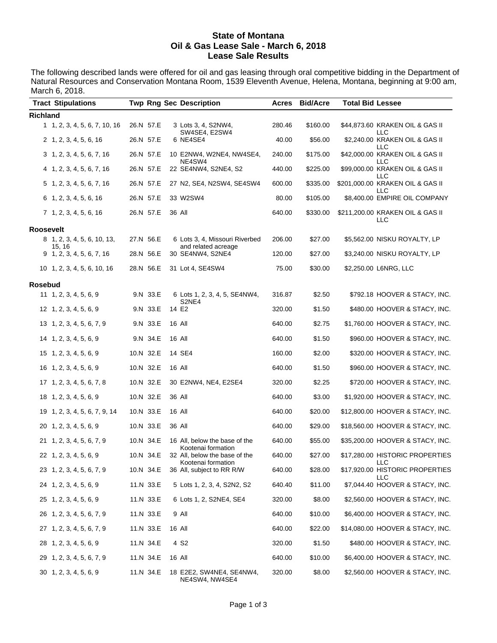#### **State of Montana Oil & Gas Lease Sale - March 6, 2018 Lease Sale Results**

The following described lands were offered for oil and gas leasing through oral competitive bidding in the Department of Natural Resources and Conservation Montana Room, 1539 Eleventh Avenue, Helena, Montana, beginning at 9:00 am, March 6, 2018.

|                 | <b>Tract Stipulations</b>             |           | <b>Twp Rng Sec Description</b>                        | Acres  | <b>Bid/Acre</b> | <b>Total Bid Lessee</b> |                                         |
|-----------------|---------------------------------------|-----------|-------------------------------------------------------|--------|-----------------|-------------------------|-----------------------------------------|
| <b>Richland</b> |                                       |           |                                                       |        |                 |                         |                                         |
|                 | 1, 1, 2, 3, 4, 5, 6, 7, 10, 16        | 26.N 57.E | 3 Lots 3, 4, S2NW4,<br>SW4SE4, E2SW4                  | 280.46 | \$160.00        |                         | \$44,873.60 KRAKEN OIL & GAS II<br>LLC  |
|                 | 2 1, 2, 3, 4, 5, 6, 16                | 26.N 57.E | 6 NE4SE4                                              | 40.00  | \$56.00         |                         | \$2,240.00 KRAKEN OIL & GAS II<br>LLC   |
|                 | 3 1, 2, 3, 4, 5, 6, 7, 16             | 26.N 57.E | 10 E2NW4, W2NE4, NW4SE4,<br>NE4SW4                    | 240.00 | \$175.00        |                         | \$42,000.00 KRAKEN OIL & GAS II<br>LLC  |
|                 | 4 1, 2, 3, 4, 5, 6, 7, 16             | 26.N 57.E | 22 SE4NW4, S2NE4, S2                                  | 440.00 | \$225.00        |                         | \$99,000.00 KRAKEN OIL & GAS II<br>LLC  |
|                 | 5 1, 2, 3, 4, 5, 6, 7, 16             | 26.N 57.E | 27 N2, SE4, N2SW4, SE4SW4                             | 600.00 | \$335.00        |                         | \$201,000.00 KRAKEN OIL & GAS II<br>LLC |
|                 | 6 1, 2, 3, 4, 5, 6, 16                | 26.N 57.E | 33 W2SW4                                              | 80.00  | \$105.00        |                         | \$8,400.00 EMPIRE OIL COMPANY           |
|                 | $7\; 1, 2, 3, 4, 5, 6, 16$            | 26.N 57.E | 36 All                                                | 640.00 | \$330.00        |                         | \$211,200.00 KRAKEN OIL & GAS II<br>LLC |
| Roosevelt       |                                       |           |                                                       |        |                 |                         |                                         |
|                 | 8 1, 2, 3, 4, 5, 6, 10, 13,<br>15, 16 | 27.N 56.E | 6 Lots 3, 4, Missouri Riverbed<br>and related acreage | 206.00 | \$27.00         |                         | \$5,562.00 NISKU ROYALTY, LP            |
|                 | $9$ 1, 2, 3, 4, 5, 6, 7, 16           | 28.N 56.E | 30 SE4NW4, S2NE4                                      | 120.00 | \$27.00         |                         | \$3,240.00 NISKU ROYALTY, LP            |
|                 | 10 1, 2, 3, 4, 5, 6, 10, 16           | 28.N 56.E | 31 Lot 4, SE4SW4                                      | 75.00  | \$30.00         |                         | \$2,250.00 L6NRG, LLC                   |
| Rosebud         |                                       |           |                                                       |        |                 |                         |                                         |
|                 | $11 \quad 1, 2, 3, 4, 5, 6, 9$        | 9.N 33.E  | 6 Lots 1, 2, 3, 4, 5, SE4NW4,<br>S2NE4                | 316.87 | \$2.50          |                         | \$792.18 HOOVER & STACY, INC.           |
|                 | 12 1, 2, 3, 4, 5, 6, 9                | 9.N 33.E  | 14 E2                                                 | 320.00 | \$1.50          |                         | \$480.00 HOOVER & STACY, INC.           |
|                 | 13 1, 2, 3, 4, 5, 6, 7, 9             | 9.N 33.E  | 16 All                                                | 640.00 | \$2.75          |                         | \$1,760.00 HOOVER & STACY, INC.         |
|                 | 14 1, 2, 3, 4, 5, 6, 9                | 9.N 34.E  | 16 All                                                | 640.00 | \$1.50          |                         | \$960.00 HOOVER & STACY, INC.           |
|                 | 15 1, 2, 3, 4, 5, 6, 9                | 10.N 32.E | 14 SE4                                                | 160.00 | \$2.00          |                         | \$320.00 HOOVER & STACY, INC.           |
|                 | 16 1, 2, 3, 4, 5, 6, 9                | 10.N 32.E | 16 All                                                | 640.00 | \$1.50          |                         | \$960.00 HOOVER & STACY, INC.           |
|                 | 17 1, 2, 3, 4, 5, 6, 7, 8             | 10.N 32.E | 30 E2NW4, NE4, E2SE4                                  | 320.00 | \$2.25          |                         | \$720.00 HOOVER & STACY, INC.           |
|                 | 18 1, 2, 3, 4, 5, 6, 9                | 10.N 32.E | 36 All                                                | 640.00 | \$3.00          |                         | \$1,920.00 HOOVER & STACY, INC.         |
|                 | 19 1, 2, 3, 4, 5, 6, 7, 9, 14         | 10.N 33.E | 16 All                                                | 640.00 | \$20.00         |                         | \$12,800.00 HOOVER & STACY, INC.        |
|                 | 20 1, 2, 3, 4, 5, 6, 9                | 10.N 33.E | 36 All                                                | 640.00 | \$29.00         |                         | \$18,560.00 HOOVER & STACY, INC.        |
|                 | 21 1, 2, 3, 4, 5, 6, 7, 9             | 10.N 34.E | 16 All, below the base of the<br>Kootenai formation   | 640.00 | \$55.00         |                         | \$35,200.00 HOOVER & STACY, INC.        |
|                 | 22 1, 2, 3, 4, 5, 6, 9                | 10.N 34.E | 32 All, below the base of the<br>Kootenai formation   | 640.00 | \$27.00         |                         | \$17,280.00 HISTORIC PROPERTIES<br>LLC  |
|                 | 23 1, 2, 3, 4, 5, 6, 7, 9             | 10.N 34.E | 36 All, subject to RR R/W                             | 640.00 | \$28.00         |                         | \$17,920.00 HISTORIC PROPERTIES<br>LLC  |
|                 | 24 1, 2, 3, 4, 5, 6, 9                | 11.N 33.E | 5 Lots 1, 2, 3, 4, S2N2, S2                           | 640.40 | \$11.00         |                         | \$7,044.40 HOOVER & STACY, INC.         |
|                 | 25 1, 2, 3, 4, 5, 6, 9                | 11.N 33.E | 6 Lots 1, 2, S2NE4, SE4                               | 320.00 | \$8.00          |                         | \$2,560.00 HOOVER & STACY, INC.         |
|                 | 26 1, 2, 3, 4, 5, 6, 7, 9             | 11.N 33.E | 9 All                                                 | 640.00 | \$10.00         |                         | \$6,400.00 HOOVER & STACY, INC.         |
|                 | 27 1, 2, 3, 4, 5, 6, 7, 9             | 11.N 33.E | 16 All                                                | 640.00 | \$22.00         |                         | \$14,080.00 HOOVER & STACY, INC.        |
|                 | 28 1, 2, 3, 4, 5, 6, 9                | 11.N 34.E | 4 S <sub>2</sub>                                      | 320.00 | \$1.50          |                         | \$480.00 HOOVER & STACY, INC.           |
|                 | 29 1, 2, 3, 4, 5, 6, 7, 9             | 11.N 34.E | 16 All                                                | 640.00 | \$10.00         |                         | \$6,400.00 HOOVER & STACY, INC.         |
|                 | 30 1, 2, 3, 4, 5, 6, 9                | 11.N 34.E | 18 E2E2, SW4NE4, SE4NW4,<br>NE4SW4, NW4SE4            | 320.00 | \$8.00          |                         | \$2,560.00 HOOVER & STACY, INC.         |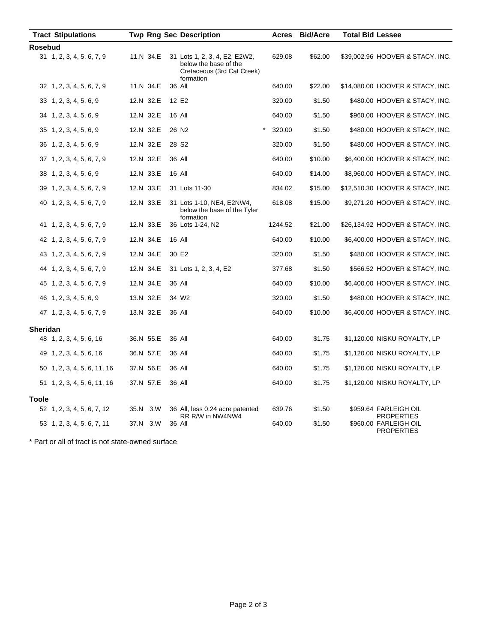|                 | <b>Tract Stipulations</b>   |           | <b>Twp Rng Sec Description</b>                                                                    | <b>Acres</b> | <b>Bid/Acre</b> | <b>Total Bid Lessee</b>                                         |
|-----------------|-----------------------------|-----------|---------------------------------------------------------------------------------------------------|--------------|-----------------|-----------------------------------------------------------------|
| Rosebud         |                             |           |                                                                                                   |              |                 |                                                                 |
|                 | 31 1, 2, 3, 4, 5, 6, 7, 9   | 11.N 34.E | 31 Lots 1, 2, 3, 4, E2, E2W2,<br>below the base of the<br>Cretaceous (3rd Cat Creek)<br>formation | 629.08       | \$62.00         | \$39,002.96 HOOVER & STACY, INC.                                |
|                 | 32 1, 2, 3, 4, 5, 6, 7, 9   | 11.N 34.E | 36 All                                                                                            | 640.00       | \$22.00         | \$14,080.00 HOOVER & STACY, INC.                                |
|                 | 33 1, 2, 3, 4, 5, 6, 9      | 12.N 32.E | 12 E2                                                                                             | 320.00       | \$1.50          | \$480.00 HOOVER & STACY, INC.                                   |
|                 | 34 1, 2, 3, 4, 5, 6, 9      | 12.N 32.E | 16 All                                                                                            | 640.00       | \$1.50          | \$960.00 HOOVER & STACY, INC.                                   |
|                 | 35 1, 2, 3, 4, 5, 6, 9      | 12.N 32.E | 26 N <sub>2</sub>                                                                                 | 320.00       | \$1.50          | \$480.00 HOOVER & STACY, INC.                                   |
|                 | 36 1, 2, 3, 4, 5, 6, 9      | 12.N 32.E | 28 S <sub>2</sub>                                                                                 | 320.00       | \$1.50          | \$480.00 HOOVER & STACY, INC.                                   |
|                 | 37 1, 2, 3, 4, 5, 6, 7, 9   | 12.N 32.E | 36 All                                                                                            | 640.00       | \$10.00         | \$6,400.00 HOOVER & STACY, INC.                                 |
|                 | 38 1, 2, 3, 4, 5, 6, 9      | 12.N 33.E | <b>16 All</b>                                                                                     | 640.00       | \$14.00         | \$8,960.00 HOOVER & STACY, INC.                                 |
|                 | 39 1, 2, 3, 4, 5, 6, 7, 9   | 12.N 33.E | 31 Lots 11-30                                                                                     | 834.02       | \$15.00         | \$12,510.30 HOOVER & STACY, INC.                                |
|                 | 40 1, 2, 3, 4, 5, 6, 7, 9   | 12.N 33.E | 31 Lots 1-10, NE4, E2NW4,<br>below the base of the Tyler<br>formation                             | 618.08       | \$15.00         | \$9,271.20 HOOVER & STACY, INC.                                 |
|                 | 41 1, 2, 3, 4, 5, 6, 7, 9   | 12.N 33.E | 36 Lots 1-24, N2                                                                                  | 1244.52      | \$21.00         | \$26,134.92 HOOVER & STACY, INC.                                |
|                 | 42 1, 2, 3, 4, 5, 6, 7, 9   | 12.N 34.E | 16 All                                                                                            | 640.00       | \$10.00         | \$6,400.00 HOOVER & STACY, INC.                                 |
|                 | 43 1, 2, 3, 4, 5, 6, 7, 9   | 12.N 34.E | 30 E2                                                                                             | 320.00       | \$1.50          | \$480.00 HOOVER & STACY, INC.                                   |
|                 | 44 1, 2, 3, 4, 5, 6, 7, 9   | 12.N 34.E | 31 Lots 1, 2, 3, 4, E2                                                                            | 377.68       | \$1.50          | \$566.52 HOOVER & STACY, INC.                                   |
|                 | 45 1, 2, 3, 4, 5, 6, 7, 9   | 12.N 34.E | 36 All                                                                                            | 640.00       | \$10.00         | \$6,400.00 HOOVER & STACY, INC.                                 |
|                 | 46 1, 2, 3, 4, 5, 6, 9      | 13.N 32.E | 34 W2                                                                                             | 320.00       | \$1.50          | \$480.00 HOOVER & STACY, INC.                                   |
|                 | 47 1, 2, 3, 4, 5, 6, 7, 9   | 13.N 32.E | 36 All                                                                                            | 640.00       | \$10.00         | \$6,400.00 HOOVER & STACY, INC.                                 |
| <b>Sheridan</b> |                             |           |                                                                                                   |              |                 |                                                                 |
|                 | 48 1, 2, 3, 4, 5, 6, 16     | 36.N 55.E | 36 All                                                                                            | 640.00       | \$1.75          | \$1,120.00 NISKU ROYALTY, LP                                    |
|                 | 49 1, 2, 3, 4, 5, 6, 16     | 36.N 57.E | 36 All                                                                                            | 640.00       | \$1.75          | \$1,120.00 NISKU ROYALTY, LP                                    |
|                 | 50 1, 2, 3, 4, 5, 6, 11, 16 | 37.N 56.E | 36 All                                                                                            | 640.00       | \$1.75          | \$1,120.00 NISKU ROYALTY, LP                                    |
|                 | 51 1, 2, 3, 4, 5, 6, 11, 16 | 37.N 57.E | 36 All                                                                                            | 640.00       | \$1.75          | \$1,120.00 NISKU ROYALTY, LP                                    |
| <b>Toole</b>    |                             |           |                                                                                                   |              |                 |                                                                 |
|                 | 52 1, 2, 3, 4, 5, 6, 7, 12  | 35.N 3.W  | 36 All, less 0.24 acre patented                                                                   | 639.76       | \$1.50          | \$959.64 FARLEIGH OIL                                           |
|                 | 53 1, 2, 3, 4, 5, 6, 7, 11  | 37.N 3.W  | RR R/W in NW4NW4<br>36 All                                                                        | 640.00       | \$1.50          | <b>PROPERTIES</b><br>\$960.00 FARLEIGH OIL<br><b>PROPERTIES</b> |

\* Part or all of tract is not state-owned surface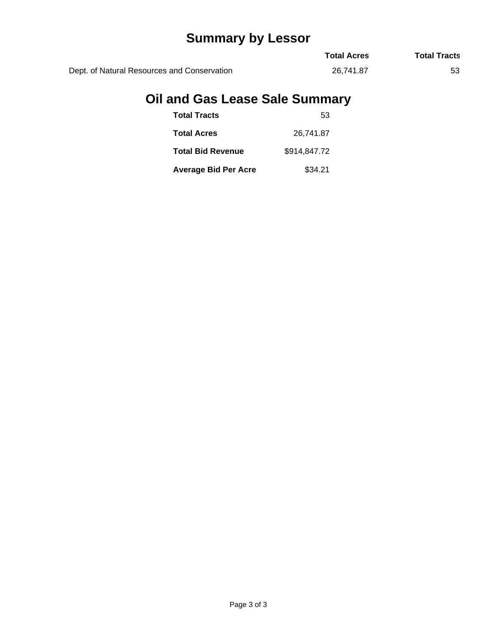# **Summary by Lessor**

|                                             | <b>Total Acres</b> | <b>Total Tracts</b> |
|---------------------------------------------|--------------------|---------------------|
| Dept. of Natural Resources and Conservation | 26.741.87          |                     |

# **Oil and Gas Lease Sale Summary**

| <b>Total Tracts</b>         | 53           |
|-----------------------------|--------------|
| <b>Total Acres</b>          | 26,741.87    |
| <b>Total Bid Revenue</b>    | \$914.847.72 |
| <b>Average Bid Per Acre</b> | \$34.21      |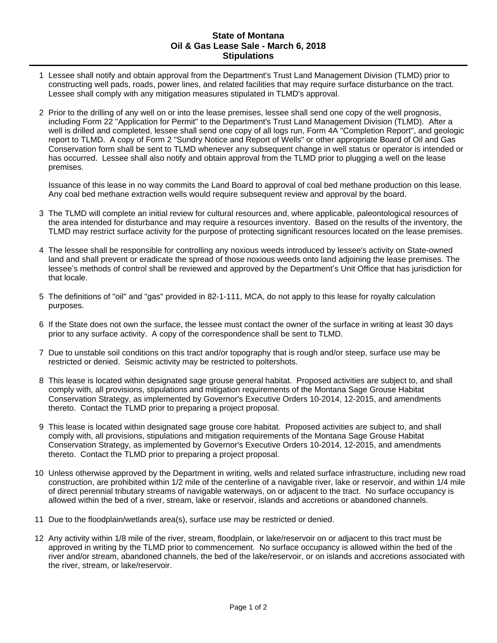#### **State of Montana Oil & Gas Lease Sale - March 6, 2018 Stipulations**

- 1 Lessee shall notify and obtain approval from the Department's Trust Land Management Division (TLMD) prior to constructing well pads, roads, power lines, and related facilities that may require surface disturbance on the tract. Lessee shall comply with any mitigation measures stipulated in TLMD's approval.
- 2 Prior to the drilling of any well on or into the lease premises, lessee shall send one copy of the well prognosis, including Form 22 "Application for Permit" to the Department's Trust Land Management Division (TLMD). After a well is drilled and completed, lessee shall send one copy of all logs run, Form 4A "Completion Report", and geologic report to TLMD. A copy of Form 2 "Sundry Notice and Report of Wells" or other appropriate Board of Oil and Gas Conservation form shall be sent to TLMD whenever any subsequent change in well status or operator is intended or has occurred. Lessee shall also notify and obtain approval from the TLMD prior to plugging a well on the lease premises.

Issuance of this lease in no way commits the Land Board to approval of coal bed methane production on this lease. Any coal bed methane extraction wells would require subsequent review and approval by the board.

- 3 The TLMD will complete an initial review for cultural resources and, where applicable, paleontological resources of the area intended for disturbance and may require a resources inventory. Based on the results of the inventory, the TLMD may restrict surface activity for the purpose of protecting significant resources located on the lease premises.
- 4 The lessee shall be responsible for controlling any noxious weeds introduced by lessee's activity on State-owned land and shall prevent or eradicate the spread of those noxious weeds onto land adjoining the lease premises. The lessee's methods of control shall be reviewed and approved by the Department's Unit Office that has jurisdiction for that locale.
- 5 The definitions of "oil" and "gas" provided in 82-1-111, MCA, do not apply to this lease for royalty calculation purposes.
- 6 If the State does not own the surface, the lessee must contact the owner of the surface in writing at least 30 days prior to any surface activity. A copy of the correspondence shall be sent to TLMD.
- 7 Due to unstable soil conditions on this tract and/or topography that is rough and/or steep, surface use may be restricted or denied. Seismic activity may be restricted to poltershots.
- 8 This lease is located within designated sage grouse general habitat. Proposed activities are subject to, and shall comply with, all provisions, stipulations and mitigation requirements of the Montana Sage Grouse Habitat Conservation Strategy, as implemented by Governor's Executive Orders 10-2014, 12-2015, and amendments thereto. Contact the TLMD prior to preparing a project proposal.
- 9 This lease is located within designated sage grouse core habitat. Proposed activities are subject to, and shall comply with, all provisions, stipulations and mitigation requirements of the Montana Sage Grouse Habitat Conservation Strategy, as implemented by Governor's Executive Orders 10-2014, 12-2015, and amendments thereto. Contact the TLMD prior to preparing a project proposal.
- 10 Unless otherwise approved by the Department in writing, wells and related surface infrastructure, including new road construction, are prohibited within 1/2 mile of the centerline of a navigable river, lake or reservoir, and within 1/4 mile of direct perennial tributary streams of navigable waterways, on or adjacent to the tract. No surface occupancy is allowed within the bed of a river, stream, lake or reservoir, islands and accretions or abandoned channels.
- 11 Due to the floodplain/wetlands area(s), surface use may be restricted or denied.
- 12 Any activity within 1/8 mile of the river, stream, floodplain, or lake/reservoir on or adjacent to this tract must be approved in writing by the TLMD prior to commencement. No surface occupancy is allowed within the bed of the river and/or stream, abandoned channels, the bed of the lake/reservoir, or on islands and accretions associated with the river, stream, or lake/reservoir.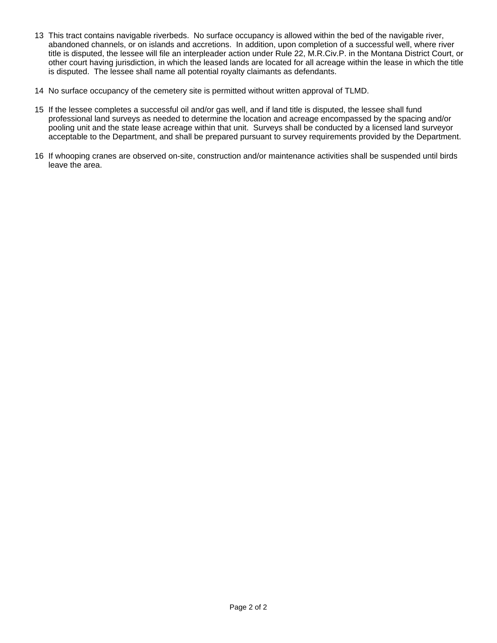- 13 This tract contains navigable riverbeds. No surface occupancy is allowed within the bed of the navigable river, abandoned channels, or on islands and accretions. In addition, upon completion of a successful well, where river title is disputed, the lessee will file an interpleader action under Rule 22, M.R.Civ.P. in the Montana District Court, or other court having jurisdiction, in which the leased lands are located for all acreage within the lease in which the title is disputed. The lessee shall name all potential royalty claimants as defendants.
- 14 No surface occupancy of the cemetery site is permitted without written approval of TLMD.
- 15 If the lessee completes a successful oil and/or gas well, and if land title is disputed, the lessee shall fund professional land surveys as needed to determine the location and acreage encompassed by the spacing and/or pooling unit and the state lease acreage within that unit. Surveys shall be conducted by a licensed land surveyor acceptable to the Department, and shall be prepared pursuant to survey requirements provided by the Department.
- 16 If whooping cranes are observed on-site, construction and/or maintenance activities shall be suspended until birds leave the area.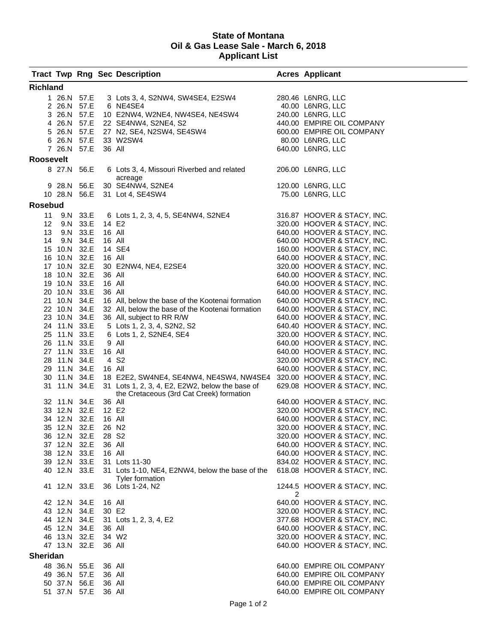#### **State of Montana Oil & Gas Lease Sale - March 6, 2018 Applicant List**

|                  |              |              |                   | <b>Tract Twp Rng Sec Description</b>             |   | <b>Acres Applicant</b>      |  |  |  |  |  |
|------------------|--------------|--------------|-------------------|--------------------------------------------------|---|-----------------------------|--|--|--|--|--|
| <b>Richland</b>  |              |              |                   |                                                  |   |                             |  |  |  |  |  |
|                  |              | 1 26.N 57.E  |                   | 3 Lots 3, 4, S2NW4, SW4SE4, E2SW4                |   | 280.46 L6NRG, LLC           |  |  |  |  |  |
|                  |              | 2 26.N 57.E  |                   | 6 NE4SE4                                         |   | 40.00 L6NRG, LLC            |  |  |  |  |  |
|                  | 3 26.N 57.E  |              |                   | 10 E2NW4, W2NE4, NW4SE4, NE4SW4                  |   | 240.00 L6NRG, LLC           |  |  |  |  |  |
|                  | 4 26.N 57.E  |              |                   | 22 SE4NW4, S2NE4, S2                             |   | 440.00 EMPIRE OIL COMPANY   |  |  |  |  |  |
|                  | 5 26.N 57.E  |              |                   | 27 N2, SE4, N2SW4, SE4SW4                        |   | 600.00 EMPIRE OIL COMPANY   |  |  |  |  |  |
|                  | 6 26.N 57.E  |              |                   | 33 W2SW4                                         |   | 80.00 L6NRG, LLC            |  |  |  |  |  |
|                  | 7 26.N 57.E  |              | 36 All            |                                                  |   | 640.00 L6NRG, LLC           |  |  |  |  |  |
| <b>Roosevelt</b> |              |              |                   |                                                  |   |                             |  |  |  |  |  |
|                  | 8 27.N 56.E  |              |                   | 6 Lots 3, 4, Missouri Riverbed and related       |   | 206.00 L6NRG, LLC           |  |  |  |  |  |
|                  |              |              |                   | acreage                                          |   |                             |  |  |  |  |  |
|                  | 9 28.N 56.E  |              |                   | 30 SE4NW4, S2NE4                                 |   | 120.00 L6NRG, LLC           |  |  |  |  |  |
|                  |              | 10 28.N 56.E |                   | 31 Lot 4, SE4SW4                                 |   | 75.00 L6NRG, LLC            |  |  |  |  |  |
| <b>Rosebud</b>   |              |              |                   |                                                  |   |                             |  |  |  |  |  |
|                  | 11 9.N 33.E  |              |                   | 6 Lots 1, 2, 3, 4, 5, SE4NW4, S2NE4              |   | 316.87 HOOVER & STACY, INC. |  |  |  |  |  |
| 12 <sub>2</sub>  |              | 9.N 33.E     | 14 E2             |                                                  |   | 320.00 HOOVER & STACY, INC. |  |  |  |  |  |
| 13 <sup>13</sup> |              | 9.N 33.E     | 16 All            |                                                  |   | 640.00 HOOVER & STACY, INC. |  |  |  |  |  |
| 14               |              | 9.N 34.E     | 16 All            |                                                  |   | 640.00 HOOVER & STACY, INC. |  |  |  |  |  |
|                  | 15 10.N 32.E |              |                   | 14 SE4                                           |   | 160.00 HOOVER & STACY, INC. |  |  |  |  |  |
|                  | 16 10.N 32.E |              | 16 All            |                                                  |   | 640.00 HOOVER & STACY, INC. |  |  |  |  |  |
|                  | 17 10.N 32.E |              |                   | 30 E2NW4, NE4, E2SE4                             |   | 320.00 HOOVER & STACY, INC. |  |  |  |  |  |
|                  | 18 10.N 32.E |              | 36 All            |                                                  |   | 640.00 HOOVER & STACY, INC. |  |  |  |  |  |
|                  | 19 10.N 33.E |              | 16 All            |                                                  |   | 640.00 HOOVER & STACY, INC. |  |  |  |  |  |
|                  | 20 10.N 33.E |              | 36 All            |                                                  |   | 640.00 HOOVER & STACY, INC. |  |  |  |  |  |
|                  | 21 10.N 34.E |              |                   | 16 All, below the base of the Kootenai formation |   | 640.00 HOOVER & STACY, INC. |  |  |  |  |  |
|                  | 22 10.N 34.E |              |                   | 32 All, below the base of the Kootenai formation |   | 640.00 HOOVER & STACY, INC. |  |  |  |  |  |
|                  | 23 10.N 34.E |              |                   | 36 All, subject to RR R/W                        |   | 640.00 HOOVER & STACY, INC. |  |  |  |  |  |
|                  | 24 11.N 33.E |              |                   | 5 Lots 1, 2, 3, 4, S2N2, S2                      |   | 640.40 HOOVER & STACY, INC. |  |  |  |  |  |
|                  | 25 11.N 33.E |              |                   | 6 Lots 1, 2, S2NE4, SE4                          |   | 320.00 HOOVER & STACY, INC. |  |  |  |  |  |
|                  | 26 11.N 33.E |              |                   | 9 All                                            |   | 640.00 HOOVER & STACY, INC. |  |  |  |  |  |
|                  | 27 11.N 33.E |              | 16 All            |                                                  |   | 640.00 HOOVER & STACY, INC. |  |  |  |  |  |
|                  | 28 11.N 34.E |              |                   | 4 S <sub>2</sub>                                 |   | 320.00 HOOVER & STACY, INC. |  |  |  |  |  |
|                  | 29 11.N 34.E |              | 16 All            |                                                  |   | 640.00 HOOVER & STACY, INC. |  |  |  |  |  |
|                  | 30 11.N 34.E |              |                   | 18 E2E2, SW4NE4, SE4NW4, NE4SW4, NW4SE4          |   | 320.00 HOOVER & STACY, INC. |  |  |  |  |  |
|                  | 31 11.N 34.E |              |                   | 31 Lots 1, 2, 3, 4, E2, E2W2, below the base of  |   | 629.08 HOOVER & STACY, INC. |  |  |  |  |  |
|                  |              |              |                   | the Cretaceous (3rd Cat Creek) formation         |   |                             |  |  |  |  |  |
|                  | 32 11.N 34.E |              | 36 All            |                                                  |   | 640.00 HOOVER & STACY, INC. |  |  |  |  |  |
|                  | 33 12.N 32.E |              | 12 E2             |                                                  |   | 320.00 HOOVER & STACY, INC. |  |  |  |  |  |
|                  | 34 12.N 32.E |              | 16 All            |                                                  |   | 640.00 HOOVER & STACY, INC. |  |  |  |  |  |
|                  | 35 12.N 32.E |              |                   | 26 N <sub>2</sub>                                |   | 320.00 HOOVER & STACY, INC. |  |  |  |  |  |
|                  | 36 12.N 32.E |              | 28 S <sub>2</sub> |                                                  |   | 320.00 HOOVER & STACY, INC. |  |  |  |  |  |
|                  | 37 12.N 32.E |              | 36 All            |                                                  |   | 640.00 HOOVER & STACY, INC. |  |  |  |  |  |
|                  | 38 12.N 33.E |              | 16 All            |                                                  |   | 640.00 HOOVER & STACY, INC. |  |  |  |  |  |
|                  | 39 12.N 33.E |              |                   | 31 Lots 11-30                                    |   | 834.02 HOOVER & STACY, INC. |  |  |  |  |  |
|                  | 40 12.N 33.E |              |                   | 31 Lots 1-10, NE4, E2NW4, below the base of the  |   | 618.08 HOOVER & STACY, INC. |  |  |  |  |  |
|                  | 41 12.N 33.E |              |                   | <b>Tyler formation</b><br>36 Lots 1-24, N2       |   | 1244.5 HOOVER & STACY, INC. |  |  |  |  |  |
|                  |              |              |                   |                                                  | 2 |                             |  |  |  |  |  |
|                  | 42 12.N 34.E |              | 16 All            |                                                  |   | 640.00 HOOVER & STACY, INC. |  |  |  |  |  |
|                  | 43 12.N 34.E |              | 30 E2             |                                                  |   | 320.00 HOOVER & STACY, INC. |  |  |  |  |  |
|                  | 44 12.N 34.E |              |                   | 31 Lots 1, 2, 3, 4, E2                           |   | 377.68 HOOVER & STACY, INC. |  |  |  |  |  |
|                  | 45 12.N 34.E |              | 36 All            |                                                  |   | 640.00 HOOVER & STACY, INC. |  |  |  |  |  |
|                  | 46 13.N 32.E |              |                   | 34 W <sub>2</sub>                                |   | 320.00 HOOVER & STACY, INC. |  |  |  |  |  |
|                  | 47 13.N 32.E |              | 36 All            |                                                  |   | 640.00 HOOVER & STACY, INC. |  |  |  |  |  |
| <b>Sheridan</b>  |              |              |                   |                                                  |   |                             |  |  |  |  |  |
|                  | 48 36.N 55.E |              | 36 All            |                                                  |   | 640.00 EMPIRE OIL COMPANY   |  |  |  |  |  |
|                  | 49 36.N 57.E |              | 36 All            |                                                  |   | 640.00 EMPIRE OIL COMPANY   |  |  |  |  |  |
|                  | 50 37.N 56.E |              | 36 All            |                                                  |   | 640.00 EMPIRE OIL COMPANY   |  |  |  |  |  |
|                  | 51 37.N 57.E |              | 36 All            |                                                  |   | 640.00 EMPIRE OIL COMPANY   |  |  |  |  |  |
|                  |              |              |                   |                                                  |   |                             |  |  |  |  |  |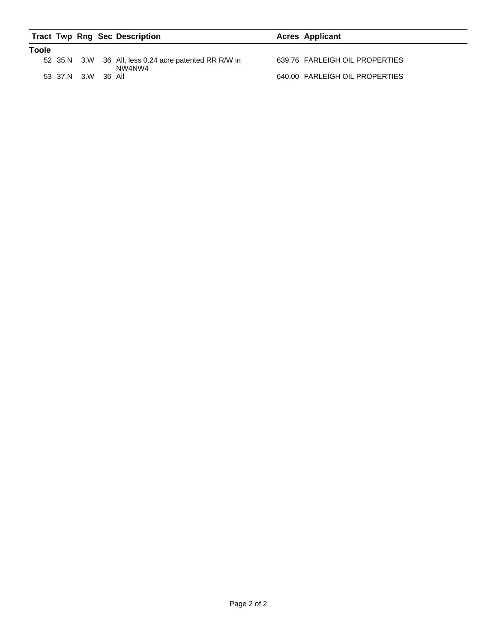|       |                    | <b>Tract Twp Rng Sec Description</b>                            | <b>Acres Applicant</b>         |
|-------|--------------------|-----------------------------------------------------------------|--------------------------------|
| Toole |                    |                                                                 |                                |
|       |                    | 52 35.N 3.W 36 All, less 0.24 acre patented RR R/W in<br>NW4NW4 | 639.76 FARLEIGH OIL PROPERTIES |
|       | 53 37.N 3.W 36 All |                                                                 | 640.00 FARLEIGH OIL PROPERTIES |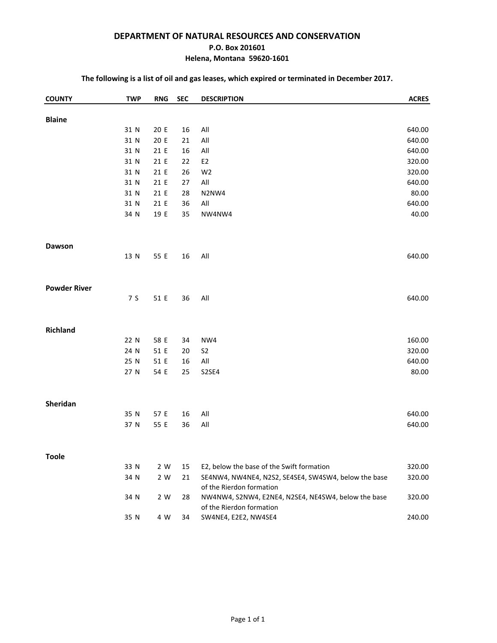#### **DEPARTMENT OF NATURAL RESOURCES AND CONSERVATION**

#### **P.O. Box 201601**

#### **Helena, Montana 59620-1601**

#### **The following is a list of oil and gas leases, which expired or terminated in December 2017.**

| <b>COUNTY</b>       | <b>TWP</b>   | <b>RNG</b>   | <b>SEC</b> | <b>DESCRIPTION</b>                                                              | <b>ACRES</b>     |
|---------------------|--------------|--------------|------------|---------------------------------------------------------------------------------|------------------|
|                     |              |              |            |                                                                                 |                  |
| <b>Blaine</b>       | 31 N         | 20 E         | 16         | All                                                                             | 640.00           |
|                     | 31 N         | 20 E         | 21         | $\mathsf{All}$                                                                  | 640.00           |
|                     | 31 N         | 21 E         | 16         | All                                                                             | 640.00           |
|                     | 31 N         | 21 E         | 22         | E <sub>2</sub>                                                                  | 320.00           |
|                     | 31 N         | 21 E         | 26         | W <sub>2</sub>                                                                  | 320.00           |
|                     | 31 N         | 21 E         | 27         | $\mathsf{All}$                                                                  | 640.00           |
|                     | 31 N         | 21 E         | 28         | N2NW4                                                                           | 80.00            |
|                     | 31 N         | 21 E         | 36         | $\mathsf{All}$                                                                  | 640.00           |
|                     | 34 N         | 19 E         | 35         | NW4NW4                                                                          | 40.00            |
|                     |              |              |            |                                                                                 |                  |
| <b>Dawson</b>       |              |              |            |                                                                                 |                  |
|                     | 13 N         | 55 E         | 16         | All                                                                             | 640.00           |
|                     |              |              |            |                                                                                 |                  |
| <b>Powder River</b> |              |              |            |                                                                                 |                  |
|                     | 7 S          | 51 E         | 36         | All                                                                             | 640.00           |
|                     |              |              |            |                                                                                 |                  |
| <b>Richland</b>     |              |              |            |                                                                                 |                  |
|                     | 22 N         | 58 E         | 34         | NW4                                                                             | 160.00           |
|                     | 24 N         | 51 E         | 20         | S <sub>2</sub>                                                                  | 320.00           |
|                     | 25 N         | 51 E         | 16         | $\mathsf{All}$                                                                  | 640.00           |
|                     | 27 N         | 54 E         | 25         | S2SE4                                                                           | 80.00            |
|                     |              |              |            |                                                                                 |                  |
| Sheridan            |              |              |            |                                                                                 |                  |
|                     | 35 N<br>37 N | 57 E<br>55 E | 16<br>36   | All<br>$\mathsf{All}$                                                           | 640.00<br>640.00 |
|                     |              |              |            |                                                                                 |                  |
| <b>Toole</b>        |              |              |            |                                                                                 |                  |
|                     | 33 N         | 2 W          | 15         | E2, below the base of the Swift formation                                       | 320.00           |
|                     | 34 N         | 2 W          | 21         | SE4NW4, NW4NE4, N2S2, SE4SE4, SW4SW4, below the base                            | 320.00           |
|                     | 34 N         | 2 W          | 28         | of the Rierdon formation<br>NW4NW4, S2NW4, E2NE4, N2SE4, NE4SW4, below the base | 320.00           |
|                     |              |              |            | of the Rierdon formation                                                        |                  |
|                     | 35 N         | 4 W          | 34         | SW4NE4, E2E2, NW4SE4                                                            | 240.00           |